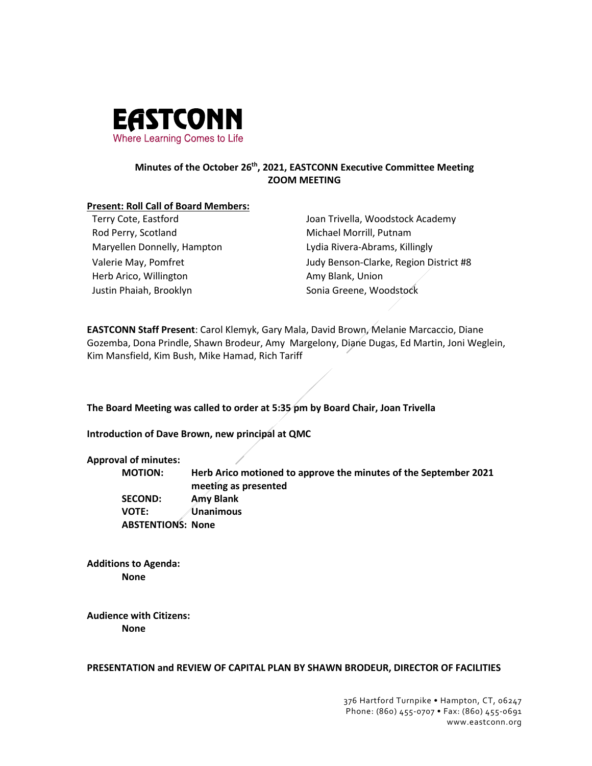

# **Minutes of the October 26th, 2021, EASTCONN Executive Committee Meeting ZOOM MEETING**

### **Present: Roll Call of Board Members:**

Rod Perry, Scotland Michael Morrill, Putnam Maryellen Donnelly, Hampton Lydia Rivera-Abrams, Killingly Herb Arico, Willington **Amy Blank**, Union Justin Phaiah, Brooklyn Summann Sonia Greene, Woodstock

Terry Cote, Eastford Joan Trivella, Woodstock Academy Valerie May, Pomfret The May of Tudy Benson-Clarke, Region District #8

**EASTCONN Staff Present**: Carol Klemyk, Gary Mala, David Brown, Melanie Marcaccio, Diane Gozemba, Dona Prindle, Shawn Brodeur, Amy Margelony, Diane Dugas, Ed Martin, Joni Weglein, Kim Mansfield, Kim Bush, Mike Hamad, Rich Tariff

**The Board Meeting was called to order at 5:35 pm by Board Chair, Joan Trivella**

**Introduction of Dave Brown, new principal at QMC**

# **Approval of minutes:**

**MOTION: Herb Arico motioned to approve the minutes of the September 2021 meeting as presented SECOND: Amy Blank VOTE: Unanimous ABSTENTIONS: None**

**Additions to Agenda: None**

**Audience with Citizens: None**

**PRESENTATION and REVIEW OF CAPITAL PLAN BY SHAWN BRODEUR, DIRECTOR OF FACILITIES**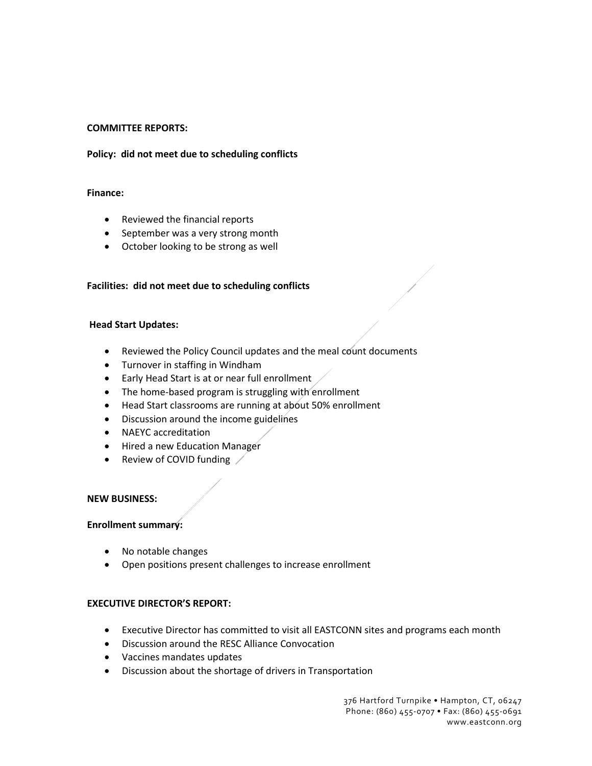## **COMMITTEE REPORTS:**

## **Policy: did not meet due to scheduling conflicts**

### **Finance:**

- Reviewed the financial reports
- September was a very strong month
- October looking to be strong as well

### **Facilities: did not meet due to scheduling conflicts**

#### **Head Start Updates:**

- Reviewed the Policy Council updates and the meal count documents
- Turnover in staffing in Windham
- Early Head Start is at or near full enrollment
- The home-based program is struggling with enrollment
- Head Start classrooms are running at about 50% enrollment
- Discussion around the income guidelines
- NAEYC accreditation
- Hired a new Education Manager
- Review of COVID funding

#### **NEW BUSINESS:**

#### **Enrollment summary:**

- No notable changes
- Open positions present challenges to increase enrollment

#### **EXECUTIVE DIRECTOR'S REPORT:**

- Executive Director has committed to visit all EASTCONN sites and programs each month
- Discussion around the RESC Alliance Convocation
- Vaccines mandates updates
- Discussion about the shortage of drivers in Transportation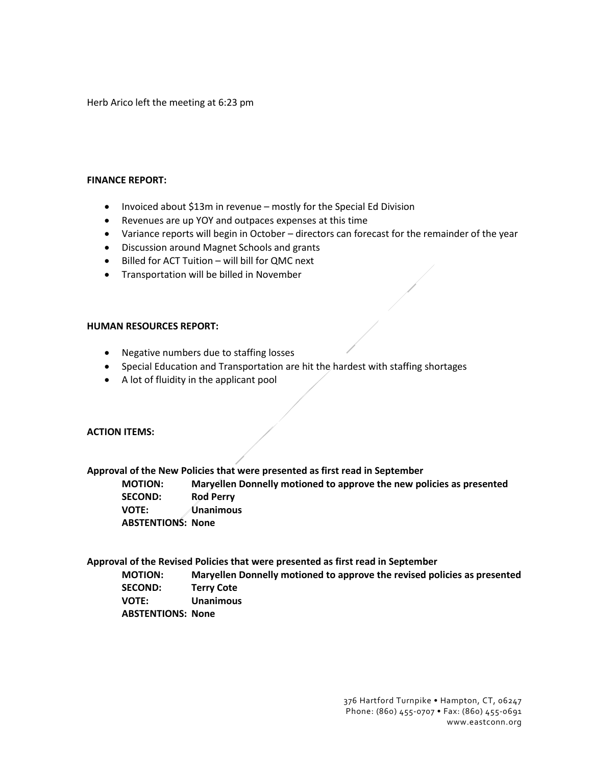Herb Arico left the meeting at 6:23 pm

#### **FINANCE REPORT:**

- Invoiced about \$13m in revenue mostly for the Special Ed Division
- Revenues are up YOY and outpaces expenses at this time
- Variance reports will begin in October directors can forecast for the remainder of the year
- Discussion around Magnet Schools and grants
- Billed for ACT Tuition will bill for QMC next
- Transportation will be billed in November

#### **HUMAN RESOURCES REPORT:**

- Negative numbers due to staffing losses
- Special Education and Transportation are hit the hardest with staffing shortages
- A lot of fluidity in the applicant pool

# **ACTION ITEMS:**

**Approval of the New Policies that were presented as first read in September**

**MOTION: Maryellen Donnelly motioned to approve the new policies as presented SECOND: Rod Perry VOTE: Unanimous ABSTENTIONS: None**

**Approval of the Revised Policies that were presented as first read in September**

**MOTION: Maryellen Donnelly motioned to approve the revised policies as presented SECOND: Terry Cote VOTE: Unanimous ABSTENTIONS: None**